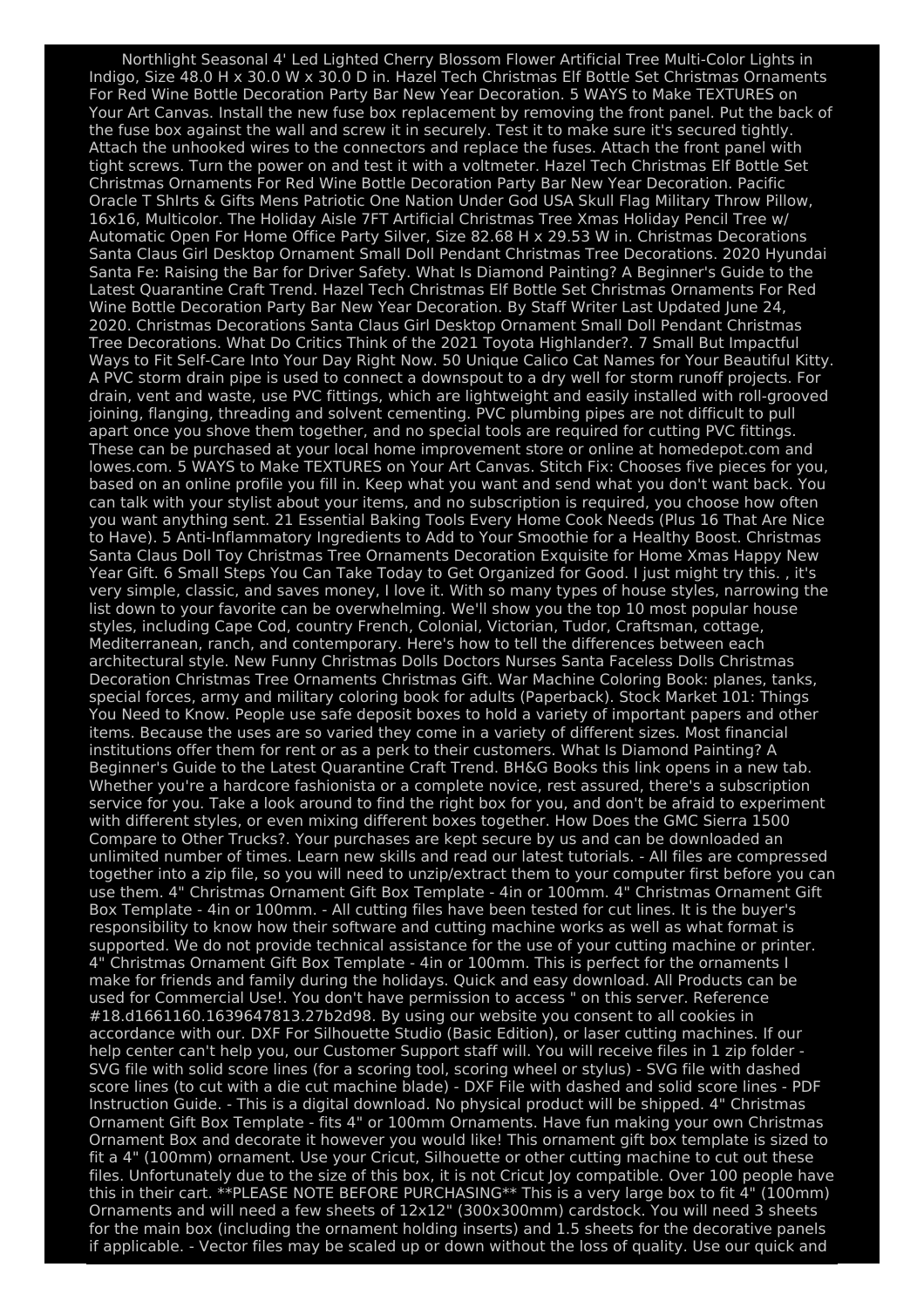Northlight Seasonal 4' Led Lighted Cherry Blossom Flower Artificial Tree Multi-Color Lights in Indigo, Size 48.0 H x 30.0 W x 30.0 D in. Hazel Tech Christmas Elf Bottle Set Christmas Ornaments For Red Wine Bottle Decoration Party Bar New Year Decoration. 5 WAYS to Make TEXTURES on Your Art Canvas. Install the new fuse box replacement by removing the front panel. Put the back of the fuse box against the wall and screw it in securely. Test it to make sure it's secured tightly. Attach the unhooked wires to the connectors and replace the fuses. Attach the front panel with tight screws. Turn the power on and test it with a voltmeter. Hazel Tech Christmas Elf Bottle Set Christmas Ornaments For Red Wine Bottle Decoration Party Bar New Year Decoration. Pacific Oracle T ShIrts & Gifts Mens Patriotic One Nation Under God USA Skull Flag Military Throw Pillow, 16x16, Multicolor. The Holiday Aisle 7FT Artificial Christmas Tree Xmas Holiday Pencil Tree w/ Automatic Open For Home Office Party Silver, Size 82.68 H x 29.53 W in. Christmas Decorations Santa Claus Girl Desktop Ornament Small Doll Pendant Christmas Tree Decorations. 2020 Hyundai Santa Fe: Raising the Bar for Driver Safety. What Is Diamond Painting? A Beginner's Guide to the Latest Quarantine Craft Trend. Hazel Tech Christmas Elf Bottle Set Christmas Ornaments For Red Wine Bottle Decoration Party Bar New Year Decoration. By Staff Writer Last Updated June 24, 2020. Christmas Decorations Santa Claus Girl Desktop Ornament Small Doll Pendant Christmas Tree Decorations. What Do Critics Think of the 2021 Toyota Highlander?. 7 Small But Impactful Ways to Fit Self-Care Into Your Day Right Now. 50 Unique Calico Cat Names for Your Beautiful Kitty. A PVC storm drain pipe is used to connect a downspout to a dry well for storm runoff projects. For drain, vent and waste, use PVC fittings, which are lightweight and easily installed with roll-grooved joining, flanging, threading and solvent cementing. PVC plumbing pipes are not difficult to pull apart once you shove them together, and no special tools are required for cutting PVC fittings. These can be purchased at your local home improvement store or online at homedepot.com and lowes.com. 5 WAYS to Make TEXTURES on Your Art Canvas. Stitch Fix: Chooses five pieces for you, based on an online profile you fill in. Keep what you want and send what you don't want back. You can talk with your stylist about your items, and no subscription is required, you choose how often you want anything sent. 21 Essential Baking Tools Every Home Cook Needs (Plus 16 That Are Nice to Have). 5 Anti-Inflammatory Ingredients to Add to Your Smoothie for a Healthy Boost. Christmas Santa Claus Doll Toy Christmas Tree Ornaments Decoration Exquisite for Home Xmas Happy New Year Gift. 6 Small Steps You Can Take Today to Get Organized for Good. I just might try this. , it's very simple, classic, and saves money, I love it. With so many types of house styles, narrowing the list down to your favorite can be overwhelming. We'll show you the top 10 most popular house styles, including Cape Cod, country French, Colonial, Victorian, Tudor, Craftsman, cottage, Mediterranean, ranch, and contemporary. Here's how to tell the differences between each architectural style. New Funny Christmas Dolls Doctors Nurses Santa Faceless Dolls Christmas Decoration Christmas Tree Ornaments Christmas Gift. War Machine Coloring Book: planes, tanks, special forces, army and military coloring book for adults (Paperback). Stock Market 101: Things You Need to Know. People use safe deposit boxes to hold a variety of important papers and other items. Because the uses are so varied they come in a variety of different sizes. Most financial institutions offer them for rent or as a perk to their customers. What Is Diamond Painting? A Beginner's Guide to the Latest Quarantine Craft Trend. BH&G Books this link opens in a new tab. Whether you're a hardcore fashionista or a complete novice, rest assured, there's a subscription service for you. Take a look around to find the right box for you, and don't be afraid to experiment with different styles, or even mixing different boxes together. How Does the GMC Sierra 1500 Compare to Other Trucks?. Your purchases are kept secure by us and can be downloaded an unlimited number of times. Learn new skills and read our latest tutorials. - All files are compressed together into a zip file, so you will need to unzip/extract them to your computer first before you can use them. 4" Christmas Ornament Gift Box Template - 4in or 100mm. 4" Christmas Ornament Gift Box Template - 4in or 100mm. - All cutting files have been tested for cut lines. It is the buyer's responsibility to know how their software and cutting machine works as well as what format is supported. We do not provide technical assistance for the use of your cutting machine or printer. 4" Christmas Ornament Gift Box Template - 4in or 100mm. This is perfect for the ornaments I make for friends and family during the holidays. Quick and easy download. All Products can be used for Commercial Use!. You don't have permission to access " on this server. Reference #18.d1661160.1639647813.27b2d98. By using our website you consent to all cookies in accordance with our. DXF For Silhouette Studio (Basic Edition), or laser cutting machines. If our help center can't help you, our Customer Support staff will. You will receive files in 1 zip folder - SVG file with solid score lines (for a scoring tool, scoring wheel or stylus) - SVG file with dashed score lines (to cut with a die cut machine blade) - DXF File with dashed and solid score lines - PDF Instruction Guide. - This is a digital download. No physical product will be shipped. 4" Christmas Ornament Gift Box Template - fits 4" or 100mm Ornaments. Have fun making your own Christmas Ornament Box and decorate it however you would like! This ornament gift box template is sized to fit a 4" (100mm) ornament. Use your Cricut, Silhouette or other cutting machine to cut out these files. Unfortunately due to the size of this box, it is not Cricut Joy compatible. Over 100 people have this in their cart. \*\*PLEASE NOTE BEFORE PURCHASING\*\* This is a very large box to fit 4" (100mm) Ornaments and will need a few sheets of 12x12" (300x300mm) cardstock. You will need 3 sheets for the main box (including the ornament holding inserts) and 1.5 sheets for the decorative panels if applicable. - Vector files may be scaled up or down without the loss of quality. Use our quick and